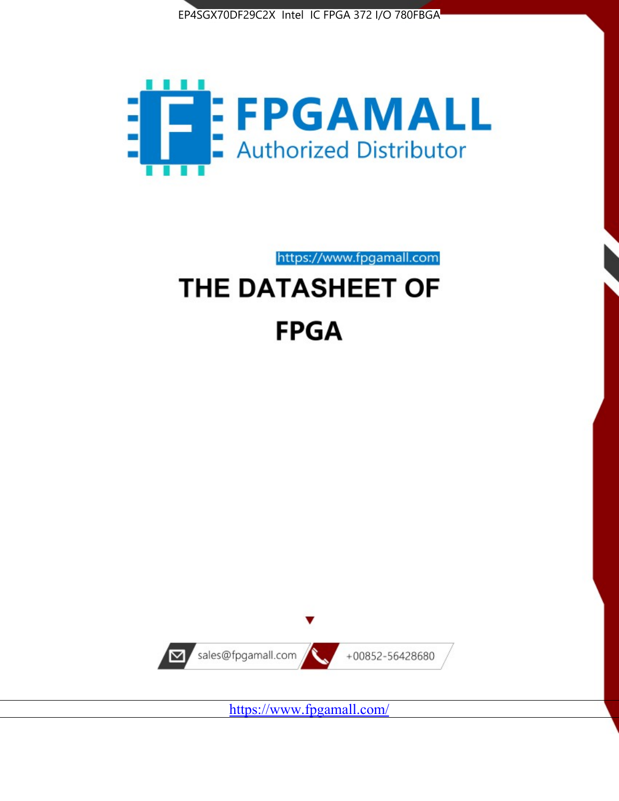



# https://www.fpgamall.com THE DATASHEET OF **FPGA**



<https://www.fpgamall.com/>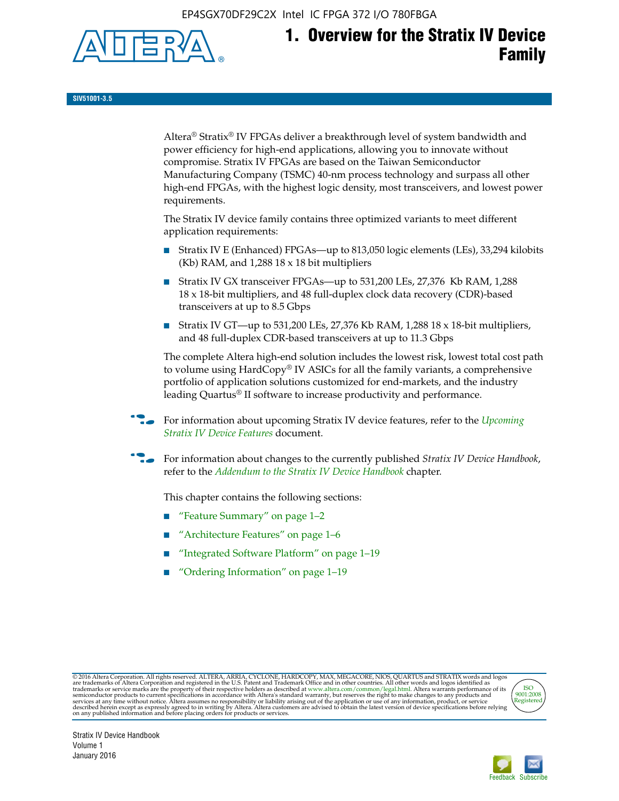EP4SGX70DF29C2X Intel IC FPGA 372 I/O 780FBGA



**SIV51001-3.5**

Altera® Stratix® IV FPGAs deliver a breakthrough level of system bandwidth and power efficiency for high-end applications, allowing you to innovate without compromise. Stratix IV FPGAs are based on the Taiwan Semiconductor Manufacturing Company (TSMC) 40-nm process technology and surpass all other high-end FPGAs, with the highest logic density, most transceivers, and lowest power requirements.

The Stratix IV device family contains three optimized variants to meet different application requirements:

- Stratix IV E (Enhanced) FPGAs—up to 813,050 logic elements (LEs), 33,294 kilobits (Kb) RAM, and 1,288 18 x 18 bit multipliers
- Stratix IV GX transceiver FPGAs—up to 531,200 LEs, 27,376 Kb RAM, 1,288 18 x 18-bit multipliers, and 48 full-duplex clock data recovery (CDR)-based transceivers at up to 8.5 Gbps
- Stratix IV GT—up to 531,200 LEs, 27,376 Kb RAM, 1,288 18 x 18-bit multipliers, and 48 full-duplex CDR-based transceivers at up to 11.3 Gbps

The complete Altera high-end solution includes the lowest risk, lowest total cost path to volume using HardCopy® IV ASICs for all the family variants, a comprehensive portfolio of application solutions customized for end-markets, and the industry leading Quartus® II software to increase productivity and performance.

f For information about upcoming Stratix IV device features, refer to the *[Upcoming](http://www.altera.com/literature/hb/stratix-iv/uf01001.pdf?GSA_pos=2&WT.oss_r=1&WT.oss=upcoming)  [Stratix IV Device Features](http://www.altera.com/literature/hb/stratix-iv/uf01001.pdf?GSA_pos=2&WT.oss_r=1&WT.oss=upcoming)* document.

f For information about changes to the currently published *Stratix IV Device Handbook*, refer to the *[Addendum to the Stratix IV Device Handbook](http://www.altera.com/literature/hb/stratix-iv/stx4_siv54002.pdf)* chapter.

This chapter contains the following sections:

- "Feature Summary" on page 1–2
- "Architecture Features" on page 1–6
- "Integrated Software Platform" on page 1–19
- "Ordering Information" on page 1–19

@2016 Altera Corporation. All rights reserved. ALTERA, ARRIA, CYCLONE, HARDCOPY, MAX, MEGACORE, NIOS, QUARTUS and STRATIX words and logos are trademarks of Altera Corporation and registered in the U.S. Patent and Trademark



Stratix IV Device Handbook Volume 1 January 2016

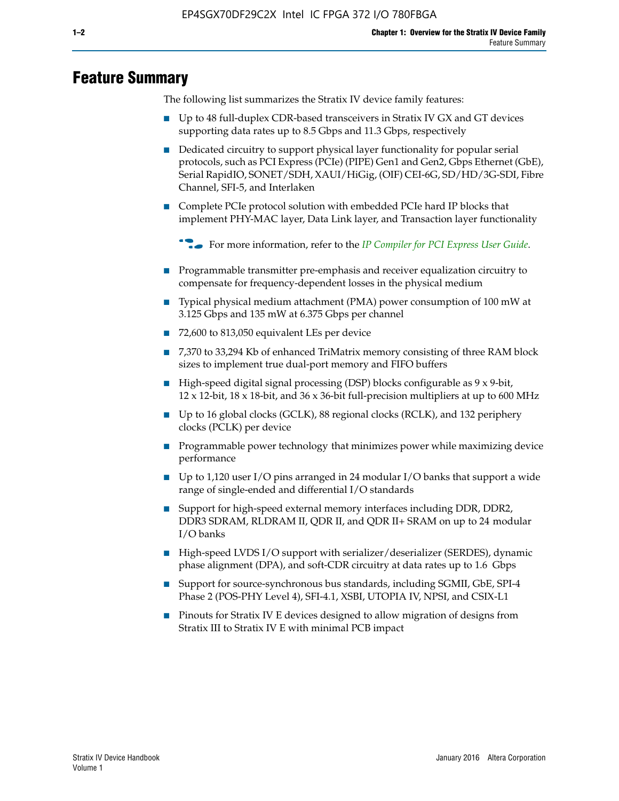# **Feature Summary**

The following list summarizes the Stratix IV device family features:

- Up to 48 full-duplex CDR-based transceivers in Stratix IV GX and GT devices supporting data rates up to 8.5 Gbps and 11.3 Gbps, respectively
- Dedicated circuitry to support physical layer functionality for popular serial protocols, such as PCI Express (PCIe) (PIPE) Gen1 and Gen2, Gbps Ethernet (GbE), Serial RapidIO, SONET/SDH, XAUI/HiGig, (OIF) CEI-6G, SD/HD/3G-SDI, Fibre Channel, SFI-5, and Interlaken
- Complete PCIe protocol solution with embedded PCIe hard IP blocks that implement PHY-MAC layer, Data Link layer, and Transaction layer functionality

**For more information, refer to the** *[IP Compiler for PCI Express User Guide](http://www.altera.com/literature/ug/ug_pci_express.pdf)***.** 

- Programmable transmitter pre-emphasis and receiver equalization circuitry to compensate for frequency-dependent losses in the physical medium
- Typical physical medium attachment (PMA) power consumption of 100 mW at 3.125 Gbps and 135 mW at 6.375 Gbps per channel
- 72,600 to 813,050 equivalent LEs per device
- 7,370 to 33,294 Kb of enhanced TriMatrix memory consisting of three RAM block sizes to implement true dual-port memory and FIFO buffers
- High-speed digital signal processing (DSP) blocks configurable as 9 x 9-bit,  $12 \times 12$ -bit,  $18 \times 18$ -bit, and  $36 \times 36$ -bit full-precision multipliers at up to 600 MHz
- Up to 16 global clocks (GCLK), 88 regional clocks (RCLK), and 132 periphery clocks (PCLK) per device
- Programmable power technology that minimizes power while maximizing device performance
- Up to 1,120 user I/O pins arranged in 24 modular I/O banks that support a wide range of single-ended and differential I/O standards
- Support for high-speed external memory interfaces including DDR, DDR2, DDR3 SDRAM, RLDRAM II, QDR II, and QDR II+ SRAM on up to 24 modular I/O banks
- High-speed LVDS I/O support with serializer/deserializer (SERDES), dynamic phase alignment (DPA), and soft-CDR circuitry at data rates up to 1.6 Gbps
- Support for source-synchronous bus standards, including SGMII, GbE, SPI-4 Phase 2 (POS-PHY Level 4), SFI-4.1, XSBI, UTOPIA IV, NPSI, and CSIX-L1
- Pinouts for Stratix IV E devices designed to allow migration of designs from Stratix III to Stratix IV E with minimal PCB impact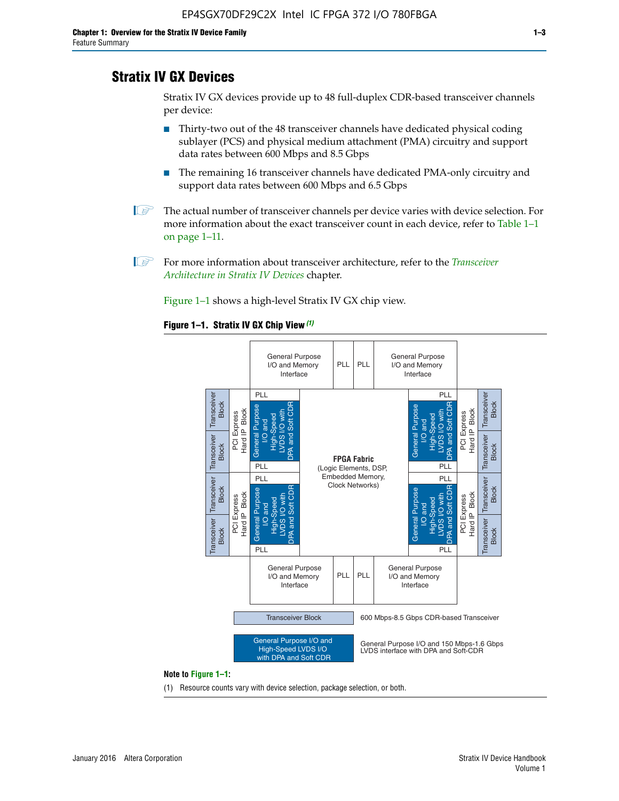# **Stratix IV GX Devices**

Stratix IV GX devices provide up to 48 full-duplex CDR-based transceiver channels per device:

- Thirty-two out of the 48 transceiver channels have dedicated physical coding sublayer (PCS) and physical medium attachment (PMA) circuitry and support data rates between 600 Mbps and 8.5 Gbps
- The remaining 16 transceiver channels have dedicated PMA-only circuitry and support data rates between 600 Mbps and 6.5 Gbps
- **1 The actual number of transceiver channels per device varies with device selection. For** more information about the exact transceiver count in each device, refer to Table 1–1 on page 1–11.
- 1 For more information about transceiver architecture, refer to the *[Transceiver](http://www.altera.com/literature/hb/stratix-iv/stx4_siv52001.pdf)  [Architecture in Stratix IV Devices](http://www.altera.com/literature/hb/stratix-iv/stx4_siv52001.pdf)* chapter.

Figure 1–1 shows a high-level Stratix IV GX chip view.

#### **Figure 1–1. Stratix IV GX Chip View** *(1)*



#### **Note to Figure 1–1:**

(1) Resource counts vary with device selection, package selection, or both.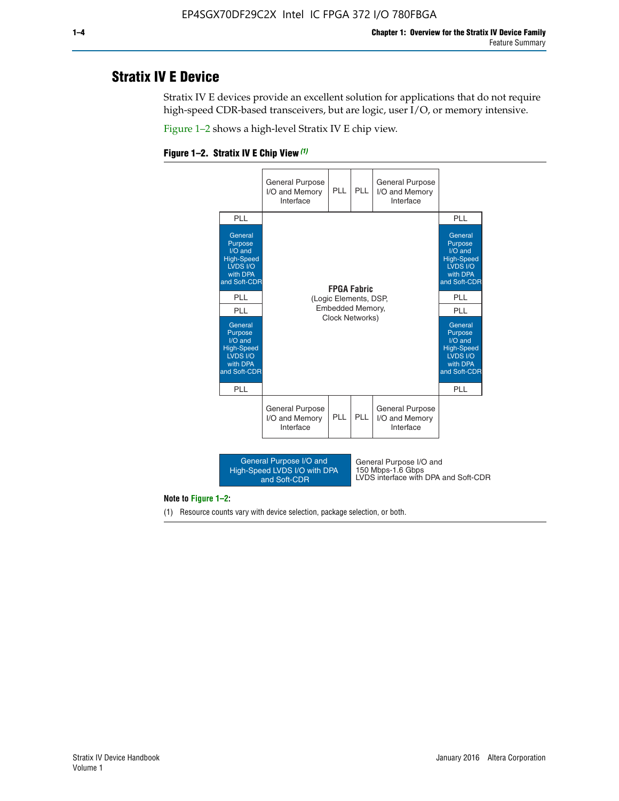# **Stratix IV E Device**

Stratix IV E devices provide an excellent solution for applications that do not require high-speed CDR-based transceivers, but are logic, user I/O, or memory intensive.

Figure 1–2 shows a high-level Stratix IV E chip view.





#### **Note to Figure 1–2:**

(1) Resource counts vary with device selection, package selection, or both.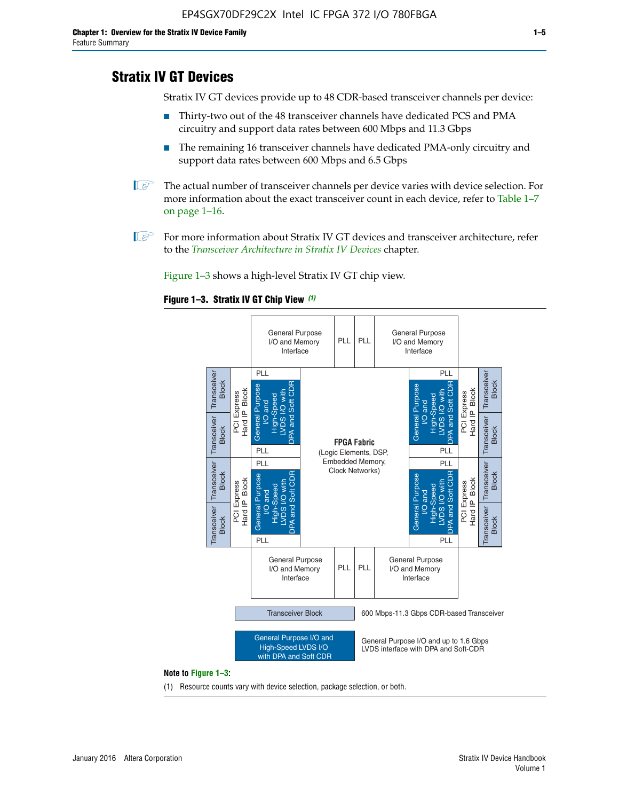# **Stratix IV GT Devices**

Stratix IV GT devices provide up to 48 CDR-based transceiver channels per device:

- Thirty-two out of the 48 transceiver channels have dedicated PCS and PMA circuitry and support data rates between 600 Mbps and 11.3 Gbps
- The remaining 16 transceiver channels have dedicated PMA-only circuitry and support data rates between 600 Mbps and 6.5 Gbps
- **1** The actual number of transceiver channels per device varies with device selection. For more information about the exact transceiver count in each device, refer to Table 1–7 on page 1–16.
- $\mathbb{I}$  For more information about Stratix IV GT devices and transceiver architecture, refer to the *[Transceiver Architecture in Stratix IV Devices](http://www.altera.com/literature/hb/stratix-iv/stx4_siv52001.pdf)* chapter.

Figure 1–3 shows a high-level Stratix IV GT chip view.





(1) Resource counts vary with device selection, package selection, or both.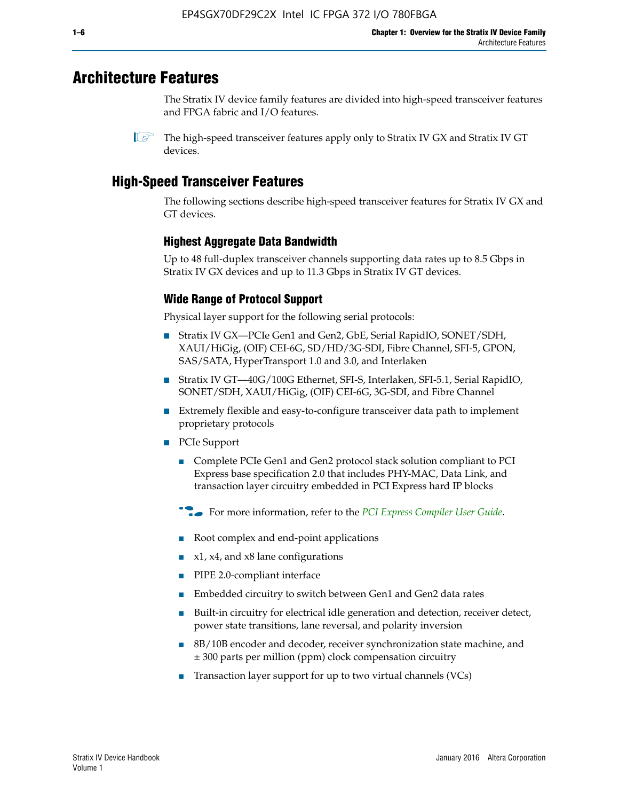# **Architecture Features**

The Stratix IV device family features are divided into high-speed transceiver features and FPGA fabric and I/O features.

 $\mathbb{I}$  The high-speed transceiver features apply only to Stratix IV GX and Stratix IV GT devices.

# **High-Speed Transceiver Features**

The following sections describe high-speed transceiver features for Stratix IV GX and GT devices.

### **Highest Aggregate Data Bandwidth**

Up to 48 full-duplex transceiver channels supporting data rates up to 8.5 Gbps in Stratix IV GX devices and up to 11.3 Gbps in Stratix IV GT devices.

### **Wide Range of Protocol Support**

Physical layer support for the following serial protocols:

- Stratix IV GX—PCIe Gen1 and Gen2, GbE, Serial RapidIO, SONET/SDH, XAUI/HiGig, (OIF) CEI-6G, SD/HD/3G-SDI, Fibre Channel, SFI-5, GPON, SAS/SATA, HyperTransport 1.0 and 3.0, and Interlaken
- Stratix IV GT—40G/100G Ethernet, SFI-S, Interlaken, SFI-5.1, Serial RapidIO, SONET/SDH, XAUI/HiGig, (OIF) CEI-6G, 3G-SDI, and Fibre Channel
- Extremely flexible and easy-to-configure transceiver data path to implement proprietary protocols
- PCIe Support
	- Complete PCIe Gen1 and Gen2 protocol stack solution compliant to PCI Express base specification 2.0 that includes PHY-MAC, Data Link, and transaction layer circuitry embedded in PCI Express hard IP blocks
	- **For more information, refer to the [PCI Express Compiler User Guide](http://www.altera.com/literature/ug/ug_pci_express.pdf).**
	- Root complex and end-point applications
	- $x1, x4,$  and  $x8$  lane configurations
	- PIPE 2.0-compliant interface
	- Embedded circuitry to switch between Gen1 and Gen2 data rates
	- Built-in circuitry for electrical idle generation and detection, receiver detect, power state transitions, lane reversal, and polarity inversion
	- 8B/10B encoder and decoder, receiver synchronization state machine, and ± 300 parts per million (ppm) clock compensation circuitry
	- Transaction layer support for up to two virtual channels (VCs)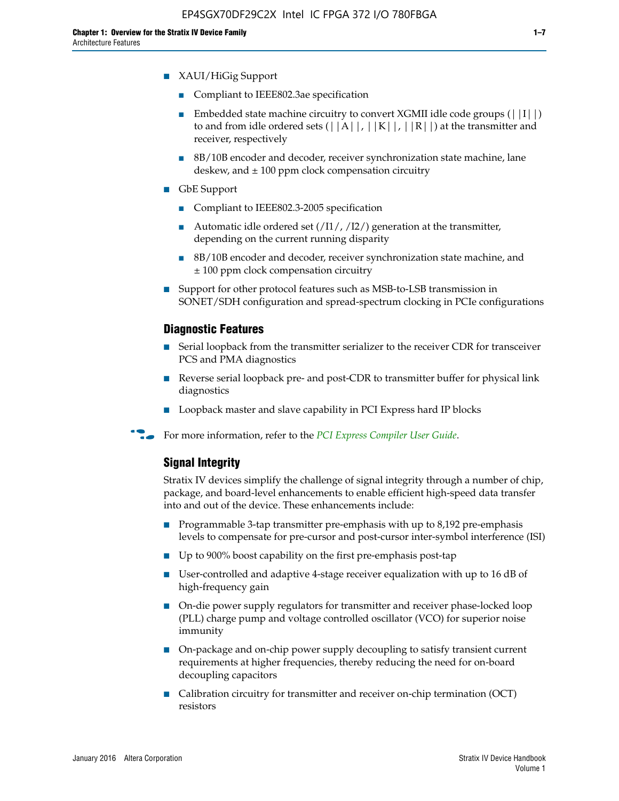- XAUI/HiGig Support
	- Compliant to IEEE802.3ae specification
	- **■** Embedded state machine circuitry to convert XGMII idle code groups  $(|11|)$ to and from idle ordered sets  $(|A|, |K|, |R|)$  at the transmitter and receiver, respectively
	- 8B/10B encoder and decoder, receiver synchronization state machine, lane deskew, and  $\pm 100$  ppm clock compensation circuitry
- GbE Support
	- Compliant to IEEE802.3-2005 specification
	- Automatic idle ordered set  $(111/112/1)$  generation at the transmitter, depending on the current running disparity
	- 8B/10B encoder and decoder, receiver synchronization state machine, and ± 100 ppm clock compensation circuitry
- Support for other protocol features such as MSB-to-LSB transmission in SONET/SDH configuration and spread-spectrum clocking in PCIe configurations

#### **Diagnostic Features**

- Serial loopback from the transmitter serializer to the receiver CDR for transceiver PCS and PMA diagnostics
- Reverse serial loopback pre- and post-CDR to transmitter buffer for physical link diagnostics
- Loopback master and slave capability in PCI Express hard IP blocks
- **For more information, refer to the** *[PCI Express Compiler User Guide](http://www.altera.com/literature/ug/ug_pci_express.pdf)***.**

### **Signal Integrity**

Stratix IV devices simplify the challenge of signal integrity through a number of chip, package, and board-level enhancements to enable efficient high-speed data transfer into and out of the device. These enhancements include:

- Programmable 3-tap transmitter pre-emphasis with up to 8,192 pre-emphasis levels to compensate for pre-cursor and post-cursor inter-symbol interference (ISI)
- Up to 900% boost capability on the first pre-emphasis post-tap
- User-controlled and adaptive 4-stage receiver equalization with up to 16 dB of high-frequency gain
- On-die power supply regulators for transmitter and receiver phase-locked loop (PLL) charge pump and voltage controlled oscillator (VCO) for superior noise immunity
- On-package and on-chip power supply decoupling to satisfy transient current requirements at higher frequencies, thereby reducing the need for on-board decoupling capacitors
- Calibration circuitry for transmitter and receiver on-chip termination (OCT) resistors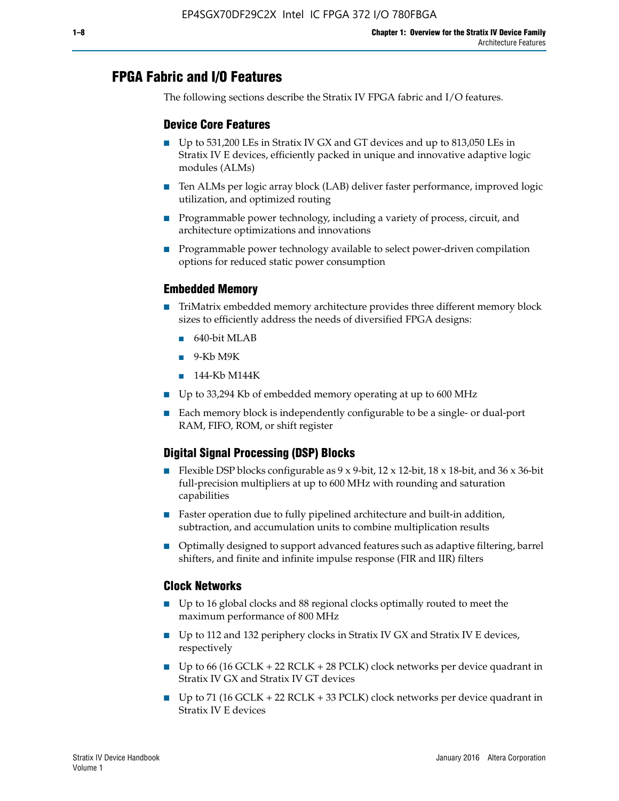# **FPGA Fabric and I/O Features**

The following sections describe the Stratix IV FPGA fabric and I/O features.

### **Device Core Features**

- Up to 531,200 LEs in Stratix IV GX and GT devices and up to 813,050 LEs in Stratix IV E devices, efficiently packed in unique and innovative adaptive logic modules (ALMs)
- Ten ALMs per logic array block (LAB) deliver faster performance, improved logic utilization, and optimized routing
- Programmable power technology, including a variety of process, circuit, and architecture optimizations and innovations
- Programmable power technology available to select power-driven compilation options for reduced static power consumption

### **Embedded Memory**

- TriMatrix embedded memory architecture provides three different memory block sizes to efficiently address the needs of diversified FPGA designs:
	- 640-bit MLAB
	- 9-Kb M9K
	- 144-Kb M144K
- Up to 33,294 Kb of embedded memory operating at up to 600 MHz
- Each memory block is independently configurable to be a single- or dual-port RAM, FIFO, ROM, or shift register

### **Digital Signal Processing (DSP) Blocks**

- Flexible DSP blocks configurable as  $9 \times 9$ -bit,  $12 \times 12$ -bit,  $18 \times 18$ -bit, and  $36 \times 36$ -bit full-precision multipliers at up to 600 MHz with rounding and saturation capabilities
- Faster operation due to fully pipelined architecture and built-in addition, subtraction, and accumulation units to combine multiplication results
- Optimally designed to support advanced features such as adaptive filtering, barrel shifters, and finite and infinite impulse response (FIR and IIR) filters

#### **Clock Networks**

- Up to 16 global clocks and 88 regional clocks optimally routed to meet the maximum performance of 800 MHz
- Up to 112 and 132 periphery clocks in Stratix IV GX and Stratix IV E devices, respectively
- Up to 66 (16 GCLK + 22 RCLK + 28 PCLK) clock networks per device quadrant in Stratix IV GX and Stratix IV GT devices
- Up to 71 (16 GCLK + 22 RCLK + 33 PCLK) clock networks per device quadrant in Stratix IV E devices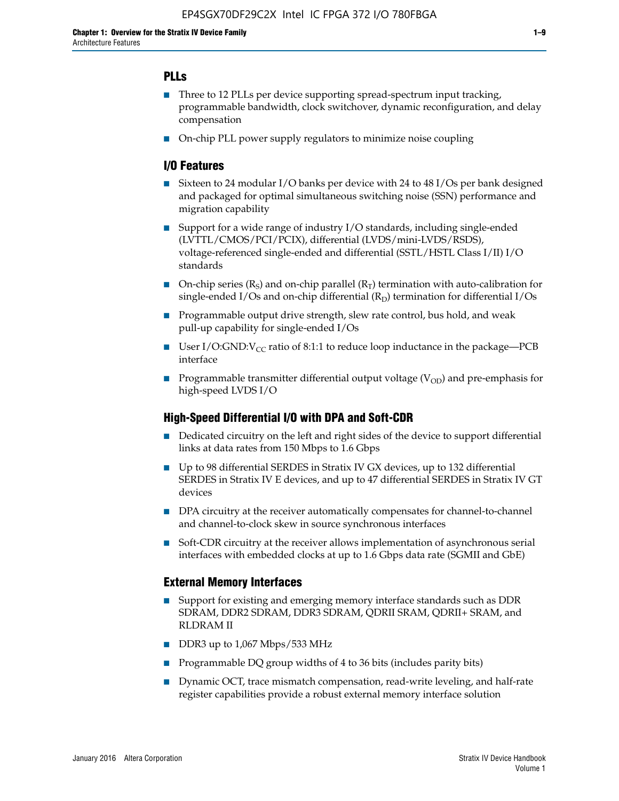### **PLLs**

- Three to 12 PLLs per device supporting spread-spectrum input tracking, programmable bandwidth, clock switchover, dynamic reconfiguration, and delay compensation
- On-chip PLL power supply regulators to minimize noise coupling

### **I/O Features**

- Sixteen to 24 modular I/O banks per device with 24 to 48 I/Os per bank designed and packaged for optimal simultaneous switching noise (SSN) performance and migration capability
- Support for a wide range of industry I/O standards, including single-ended (LVTTL/CMOS/PCI/PCIX), differential (LVDS/mini-LVDS/RSDS), voltage-referenced single-ended and differential (SSTL/HSTL Class I/II) I/O standards
- **O**n-chip series  $(R_S)$  and on-chip parallel  $(R_T)$  termination with auto-calibration for single-ended I/Os and on-chip differential  $(R_D)$  termination for differential I/Os
- Programmable output drive strength, slew rate control, bus hold, and weak pull-up capability for single-ended I/Os
- User I/O:GND: $V_{CC}$  ratio of 8:1:1 to reduce loop inductance in the package—PCB interface
- **■** Programmable transmitter differential output voltage ( $V_{OD}$ ) and pre-emphasis for high-speed LVDS I/O

#### **High-Speed Differential I/O with DPA and Soft-CDR**

- Dedicated circuitry on the left and right sides of the device to support differential links at data rates from 150 Mbps to 1.6 Gbps
- Up to 98 differential SERDES in Stratix IV GX devices, up to 132 differential SERDES in Stratix IV E devices, and up to 47 differential SERDES in Stratix IV GT devices
- DPA circuitry at the receiver automatically compensates for channel-to-channel and channel-to-clock skew in source synchronous interfaces
- Soft-CDR circuitry at the receiver allows implementation of asynchronous serial interfaces with embedded clocks at up to 1.6 Gbps data rate (SGMII and GbE)

#### **External Memory Interfaces**

- Support for existing and emerging memory interface standards such as DDR SDRAM, DDR2 SDRAM, DDR3 SDRAM, QDRII SRAM, QDRII+ SRAM, and RLDRAM II
- DDR3 up to 1,067 Mbps/533 MHz
- Programmable DQ group widths of 4 to 36 bits (includes parity bits)
- Dynamic OCT, trace mismatch compensation, read-write leveling, and half-rate register capabilities provide a robust external memory interface solution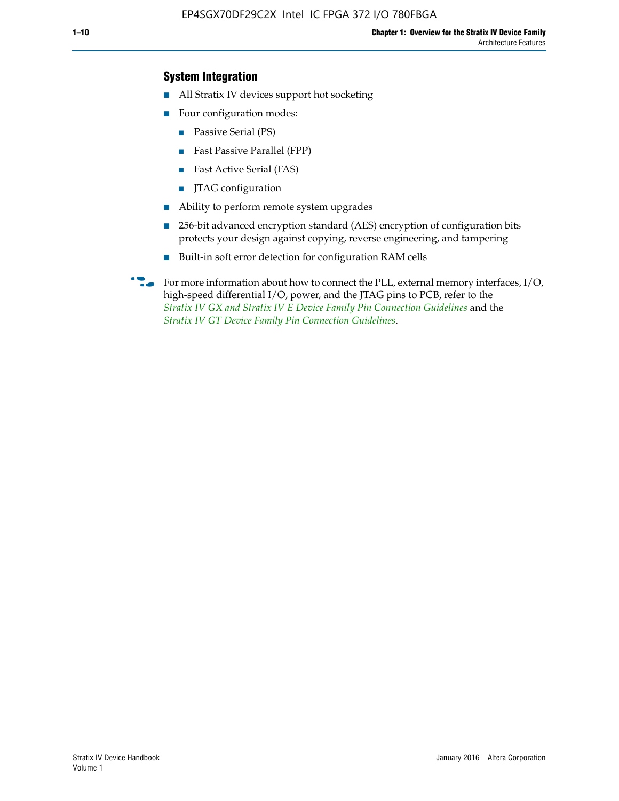### **System Integration**

- All Stratix IV devices support hot socketing
- Four configuration modes:
	- Passive Serial (PS)
	- Fast Passive Parallel (FPP)
	- Fast Active Serial (FAS)
	- JTAG configuration
- Ability to perform remote system upgrades
- 256-bit advanced encryption standard (AES) encryption of configuration bits protects your design against copying, reverse engineering, and tampering
- Built-in soft error detection for configuration RAM cells
- For more information about how to connect the PLL, external memory interfaces,  $I/O$ , high-speed differential I/O, power, and the JTAG pins to PCB, refer to the *[Stratix IV GX and Stratix IV E Device Family Pin Connection Guidelines](http://www.altera.com/literature/dp/stratix4/PCG-01005.pdf)* and the *[Stratix IV GT Device Family Pin Connection Guidelines](http://www.altera.com/literature/dp/stratix4/PCG-01006.pdf)*.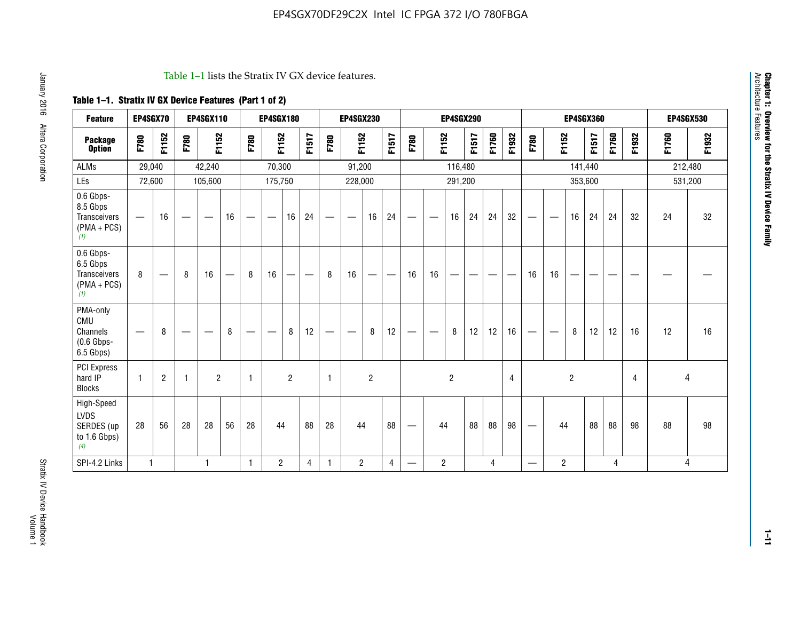#### Table 1–1 lists the Stratix IV GX device features.

## **Table 1–1. Stratix IV GX Device Features (Part 1 of 2)**

| <b>Feature</b>                                                       | EP4SGX70                        |                 |                                 | <b>EP4SGX110</b>  |    |                                | <b>EP4SGX180</b>                |                |       |              | <b>EP4SGX230</b>         |                |                                   |                                 |                | <b>EP4SGX290</b>         |                                |       |       |                          |                          |                | <b>EP4SGX360</b> |       |       |       | <b>EP4SGX530</b> |
|----------------------------------------------------------------------|---------------------------------|-----------------|---------------------------------|-------------------|----|--------------------------------|---------------------------------|----------------|-------|--------------|--------------------------|----------------|-----------------------------------|---------------------------------|----------------|--------------------------|--------------------------------|-------|-------|--------------------------|--------------------------|----------------|------------------|-------|-------|-------|------------------|
| <b>Package</b><br><b>Option</b>                                      | F780                            | F1152           | F780                            | F1152             |    | F780                           | F1152                           |                | F1517 | F780         | F1152                    |                | F1517                             | F780                            | F1152          |                          | F1517                          | F1760 | F1932 | F780                     | F1152                    |                | F1517            | F1760 | F1932 | F1760 | F1932            |
| ALMs                                                                 | 29,040                          |                 |                                 | 42,240            |    |                                | 70,300                          |                |       |              | 91,200                   |                |                                   |                                 |                | 116,480                  |                                |       |       |                          |                          |                | 141,440          |       |       |       | 212,480          |
| LEs                                                                  | 72,600                          |                 |                                 | 105,600           |    |                                | 175,750                         |                |       |              | 228,000                  |                |                                   |                                 |                | 291,200                  |                                |       |       |                          |                          |                | 353,600          |       |       |       | 531,200          |
| 0.6 Gbps-<br>8.5 Gbps<br><b>Transceivers</b><br>$(PMA + PCs)$<br>(1) | $\overline{\phantom{0}}$        | 16              | $\hspace{0.05cm}$               | $\hspace{0.05cm}$ | 16 | $\qquad \qquad \longleftarrow$ | $\hspace{0.1mm}-\hspace{0.1mm}$ | 16             | 24    |              |                          | 16             | 24                                | $\hspace{0.1mm}-\hspace{0.1mm}$ |                | 16                       | 24                             | 24    | 32    | $\overline{\phantom{0}}$ | $\overline{\phantom{a}}$ | 16             | 24               | 24    | 32    | 24    | 32               |
| 0.6 Gbps-<br>6.5 Gbps<br><b>Transceivers</b><br>$(PMA + PCs)$<br>(1) | 8                               | $\qquad \qquad$ | 8                               | 16                |    | 8                              | 16                              | —              | —     | 8            | 16                       | —              | $\overbrace{\phantom{123221111}}$ | 16                              | 16             | $\overline{\phantom{0}}$ | $\qquad \qquad \longleftarrow$ |       |       | 16                       | 16                       | --             |                  |       |       |       |                  |
| PMA-only<br>CMU<br>Channels<br>$(0.6$ Gbps-<br>6.5 Gbps)             | $\hspace{0.1mm}-\hspace{0.1mm}$ | 8               | $\hspace{0.1mm}-\hspace{0.1mm}$ |                   | 8  | $\qquad \qquad \longleftarrow$ | $\qquad \qquad \longleftarrow$  | 8              | 12    |              | $\overline{\phantom{m}}$ | 8              | 12                                | $\qquad \qquad \longleftarrow$  | -              | 8                        | 12                             | 12    | 16    | $\overline{\phantom{0}}$ | $\hspace{0.05cm}$        | 8              | 12               | 12    | 16    | 12    | 16               |
| <b>PCI Express</b><br>hard IP<br><b>Blocks</b>                       | $\mathbf{1}$                    | $\overline{2}$  | -1                              | $\overline{2}$    |    | 1                              |                                 | $\overline{2}$ |       | $\mathbf{1}$ |                          | $\overline{c}$ |                                   |                                 |                | $\overline{2}$           |                                |       | 4     |                          |                          | $\overline{2}$ |                  |       | 4     |       | 4                |
| High-Speed<br>LVDS<br>SERDES (up<br>to 1.6 Gbps)<br>(4)              | 28                              | 56              | 28                              | 28                | 56 | 28                             | 44                              |                | 88    | 28           | 44                       |                | 88                                | $\qquad \qquad \longleftarrow$  | 44             |                          | 88                             | 88    | 98    |                          | 44                       |                | 88               | 88    | 98    | 88    | 98               |
| SPI-4.2 Links                                                        | $\mathbf{1}$                    |                 |                                 | 1                 |    | $\mathbf{1}$                   | $\overline{c}$                  |                | 4     | $\mathbf{1}$ | $\overline{c}$           |                | $\overline{4}$                    | —                               | $\overline{2}$ |                          |                                | 4     |       | $\overline{\phantom{0}}$ | $\overline{2}$           |                |                  | 4     |       |       | 4                |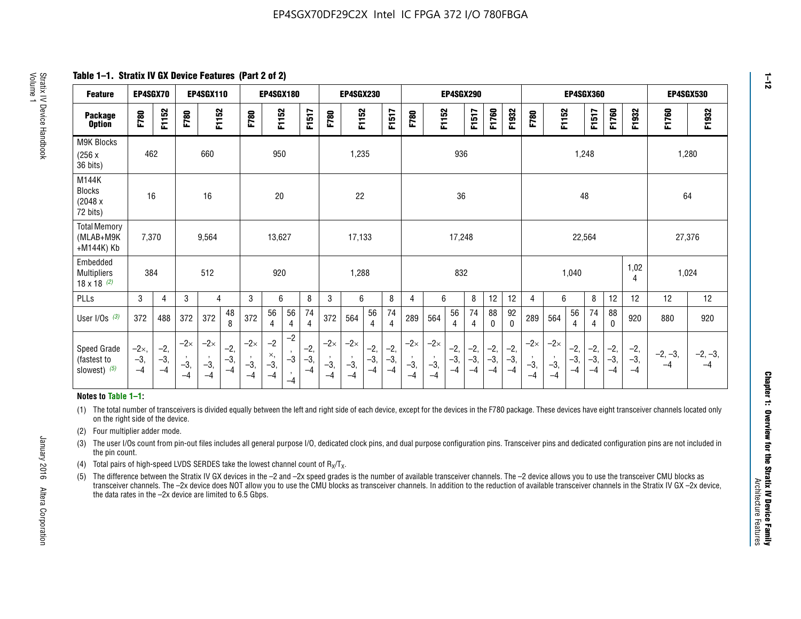**Table 1–1. Stratix IV GX Device Features (Part 2 of 2)**

| <b>Feature</b>                                       | EP4SGX70                |                        |                             | <b>EP4SGX110</b>            |                      |                             | <b>EP4SGX180</b>            |                                 |                        |                             | <b>EP4SGX230</b>            |                        |                      |                             |                             | <b>EP4SGX290</b>       |                        |                        |                        |                             |                             |                      | EP4SGX360            |                        |                        | <b>EP4SGX530</b>  |                   |
|------------------------------------------------------|-------------------------|------------------------|-----------------------------|-----------------------------|----------------------|-----------------------------|-----------------------------|---------------------------------|------------------------|-----------------------------|-----------------------------|------------------------|----------------------|-----------------------------|-----------------------------|------------------------|------------------------|------------------------|------------------------|-----------------------------|-----------------------------|----------------------|----------------------|------------------------|------------------------|-------------------|-------------------|
| <b>Package</b><br><b>Option</b>                      | F780                    | F1152                  | F780                        | F1152                       |                      | F780                        | F1152                       |                                 | F1517                  | F780                        | F1152                       |                        | F1517                | F780                        | F1152                       |                        | F1517                  | F1760                  | F1932                  | F780                        | F1152                       |                      | F1517                | F1760                  | F1932                  | F1760             | F1932             |
| <b>M9K Blocks</b><br>(256x)<br>36 bits)              | 462                     |                        |                             | 660                         |                      |                             | 950                         |                                 |                        |                             | 1,235                       |                        |                      |                             |                             | 936                    |                        |                        |                        |                             |                             | 1,248                |                      |                        |                        | 1,280             |                   |
| M144K<br><b>Blocks</b><br>(2048 x<br>72 bits)        | 16                      |                        |                             | 16                          |                      |                             | 20                          |                                 |                        |                             | 22                          |                        |                      |                             |                             | 36                     |                        |                        |                        |                             |                             | 48                   |                      |                        |                        | 64                |                   |
| <b>Total Memory</b><br>(MLAB+M9K<br>+M144K) Kb       | 7,370                   |                        |                             | 9,564                       |                      |                             | 13,627                      |                                 |                        |                             | 17,133                      |                        |                      |                             |                             | 17,248                 |                        |                        |                        |                             |                             | 22,564               |                      |                        |                        | 27,376            |                   |
| Embedded<br><b>Multipliers</b><br>$18 \times 18$ (2) | 384                     |                        |                             | 512                         |                      |                             | 920                         |                                 |                        |                             | 1,288                       |                        |                      |                             |                             | 832                    |                        |                        |                        |                             |                             | 1,040                |                      |                        | 1,02<br>4              | 1,024             |                   |
| PLLs                                                 | 3                       | 4                      | 3                           | 4                           |                      | 3                           | 6                           |                                 | 8                      | 3                           | 6                           |                        | 8                    | 4                           | 6                           |                        | 8                      | 12                     | 12                     | $\overline{4}$              | 6                           |                      | 8                    | 12                     | 12                     | 12                | 12                |
| User $1/Os$ (3)                                      | 372                     | 488                    | 372                         | 372                         | 48<br>8              | 372                         | 56<br>4                     | 56<br>4                         | 74<br>4                | 372                         | 564                         | 56<br>4                | 74<br>$\overline{4}$ | 289                         | 564                         | 56<br>4                | 74<br>4                | 88<br>0                | 92<br>0                | 289                         | 564                         | 56<br>4              | 74<br>4              | 88<br>0                | 920                    | 880               | 920               |
| Speed Grade<br>(fastest to<br>slowest) (5)           | $-2x,$<br>$-3,$<br>$-4$ | $-2,$<br>$-3,$<br>$-4$ | $-2\times$<br>$-3,$<br>$-4$ | $-2\times$<br>$-3,$<br>$-4$ | $-2,$<br>-3,<br>$-4$ | $-2\times$<br>$-3,$<br>$-4$ | $-2$<br>×,<br>$-3,$<br>$-4$ | $-2$<br>$\cdot$<br>$-3$<br>$-4$ | $-2,$<br>$-3,$<br>$-4$ | $-2\times$<br>$-3,$<br>$-4$ | $-2\times$<br>$-3,$<br>$-4$ | $-2,$<br>$-3,$<br>$-4$ | $-2,$<br>-3,<br>$-4$ | $-2\times$<br>$-3,$<br>$-4$ | $-2\times$<br>$-3,$<br>$-4$ | $-2,$<br>$-3,$<br>$-4$ | $-2,$<br>$-3,$<br>$-4$ | $-2,$<br>$-3,$<br>$-4$ | $-2,$<br>$-3,$<br>$-4$ | $-2\times$<br>$-3,$<br>$-4$ | $-2\times$<br>$-3,$<br>$-4$ | $-2,$<br>-3,<br>$-4$ | $-2,$<br>-3,<br>$-4$ | $-2,$<br>$-3,$<br>$-4$ | $-2,$<br>$-3,$<br>$-4$ | $-2, -3,$<br>$-4$ | $-2, -3,$<br>$-4$ |

#### **Notes to Table 1–1:**

(1) The total number of transceivers is divided equally between the left and right side of each device, except for the devices in the F780 package. These devices have eight transceiver channels located only on the right side of the device.

- (2) Four multiplier adder mode.
- (3) The user I/Os count from pin-out files includes all general purpose I/O, dedicated clock pins, and dual purpose configuration pins. Transceiver pins and dedicated configuration pins are not included in the pin count.
- (4) Total pairs of high-speed LVDS SERDES take the lowest channel count of  $R_X/T_X$ .
- (5) The difference between the Stratix IV GX devices in the –2 and –2x speed grades is the number of available transceiver channels. The –2 device allows you to use the transceiver CMU blocks as transceiver channels. The –2x device does NOT allow you to use the CMU blocks as transceiver channels. In addition to the reduction of available transceiver channels in the Stratix IV GX –2x device, the data rates in the –2x device are limited to 6.5 Gbps.

January 2016 Altera Corporation

Altera Corporation

January 2016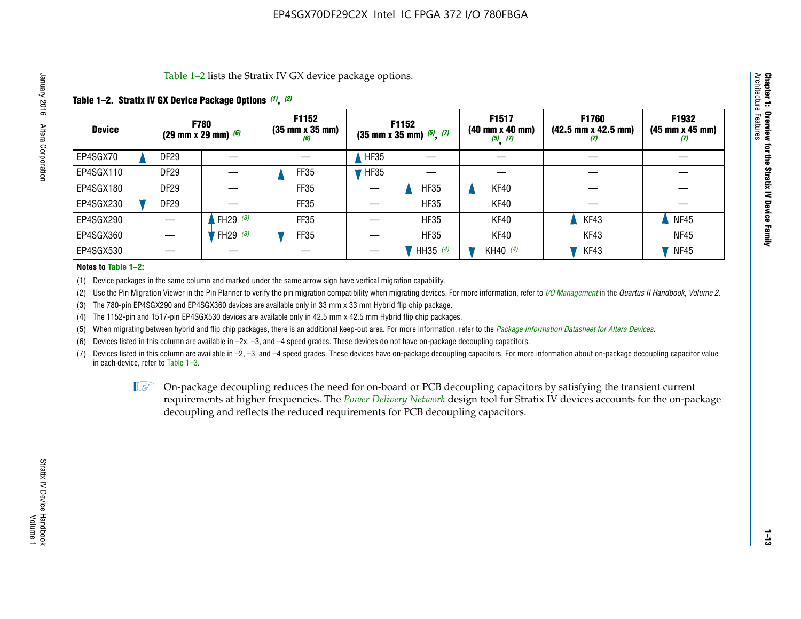Table 1–2 lists the Stratix IV GX device package options.

### **Table 1–2. Stratix IV GX Device Package Options** *(1)***,** *(2)*

| <b>Device</b> |                  | <b>F780</b><br>(29 mm x 29 mm) $(6)$ | F1152<br>$(35 \, \text{mm} \times 35 \, \text{mm})$<br>(6) |             | <b>F1152</b><br>$(35$ mm x 35 mm) $(5)$ , $(7)$ | F1517<br>(40 mm x 40 mm)<br>$(5)$ $(7)$ | <b>F1760</b><br>$(42.5 \text{ mm} \times 42.5 \text{ mm})$<br>$\boldsymbol{U}$ | F1932<br>$(45 \, \text{mm} \times 45 \, \text{mm})$<br>(7) |
|---------------|------------------|--------------------------------------|------------------------------------------------------------|-------------|-------------------------------------------------|-----------------------------------------|--------------------------------------------------------------------------------|------------------------------------------------------------|
| EP4SGX70      | <b>DF29</b>      |                                      |                                                            | <b>HF35</b> |                                                 |                                         |                                                                                |                                                            |
| EP4SGX110     | <b>DF29</b>      |                                      | <b>FF35</b>                                                | <b>HF35</b> |                                                 |                                         |                                                                                |                                                            |
| EP4SGX180     | DF <sub>29</sub> |                                      | FF35                                                       |             | <b>HF35</b>                                     | KF40                                    |                                                                                |                                                            |
| EP4SGX230     | DF <sub>29</sub> |                                      | <b>FF35</b>                                                |             | <b>HF35</b>                                     | KF40                                    |                                                                                |                                                            |
| EP4SGX290     |                  | FH29 $(3)$                           | FF35                                                       |             | <b>HF35</b>                                     | KF40                                    | KF43                                                                           | <b>NF45</b>                                                |
| EP4SGX360     |                  | FH29 $(3)$                           | FF35                                                       |             | <b>HF35</b>                                     | KF40                                    | KF43                                                                           | <b>NF45</b>                                                |
| EP4SGX530     |                  |                                      |                                                            |             | HH35 $(4)$                                      | KH40 (4)                                | KF43                                                                           | <b>NF45</b>                                                |

#### **Notes to Table 1–2:**

(1) Device packages in the same column and marked under the same arrow sign have vertical migration capability.

(2) Use the Pin Migration Viewer in the Pin Planner to verify the pin migration compatibility when migrating devices. For more information, refer to *[I/O Management](http://www.altera.com/literature/hb/qts/qts_qii52013.pdf)* in the *Quartus II Handbook, Volume 2*.

(3) The 780-pin EP4SGX290 and EP4SGX360 devices are available only in 33 mm x 33 mm Hybrid flip chip package.

(4) The 1152-pin and 1517-pin EP4SGX530 devices are available only in 42.5 mm x 42.5 mm Hybrid flip chip packages.

(5) When migrating between hybrid and flip chip packages, there is an additional keep-out area. For more information, refer to the *[Package Information Datasheet for Altera Devices](http://www.altera.com/literature/ds/dspkg.pdf)*.

(6) Devices listed in this column are available in –2x, –3, and –4 speed grades. These devices do not have on-package decoupling capacitors.

(7) Devices listed in this column are available in –2, –3, and –4 speed grades. These devices have on-package decoupling capacitors. For more information about on-package decoupling capacitor value in each device, refer to Table 1–3.

 $\mathbb{L}$ s On-package decoupling reduces the need for on-board or PCB decoupling capacitors by satisfying the transient current requirements at higher frequencies. The *[Power Delivery Network](http://www.altera.com/literature/ug/pdn_tool_stxiv.zip)* design tool for Stratix IV devices accounts for the on-package decoupling and reflects the reduced requirements for PCB decoupling capacitors.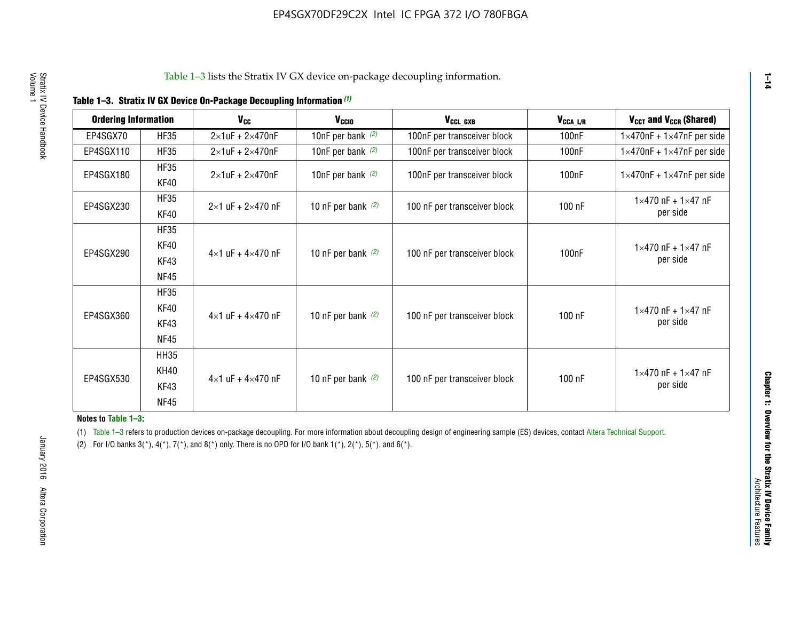| <b>Ordering Information</b> |                            | <b>V<sub>cc</sub></b>               | V <sub>ccio</sub>    | V <sub>CCL GXB</sub>         | V <sub>CCA_L/R</sub> | V <sub>CCT</sub> and V <sub>CCR</sub> (Shared)   |
|-----------------------------|----------------------------|-------------------------------------|----------------------|------------------------------|----------------------|--------------------------------------------------|
| EP4SGX70                    | <b>HF35</b>                | $2\times1$ uF + $2\times470$ nF     | 10nF per bank $(2)$  | 100nF per transceiver block  | 100 <sub>n</sub> F   | $1 \times 470$ nF + $1 \times 47$ nF per side    |
| EP4SGX110                   | <b>HF35</b>                | $2\times1$ uF + $2\times470$ nF     | 10nF per bank $(2)$  | 100nF per transceiver block  | 100 <sub>n</sub> F   | $1\times470$ nF + $1\times47$ nF per side        |
| EP4SGX180                   | <b>HF35</b><br>KF40        | $2\times1$ uF + $2\times470$ nF     | 10nF per bank $(2)$  | 100nF per transceiver block  | 100 <sub>nF</sub>    | $1 \times 470$ nF + $1 \times 47$ nF per side    |
| EP4SGX230                   | <b>HF35</b><br>KF40        | $2 \times 1$ uF + $2 \times 470$ nF | 10 nF per bank $(2)$ | 100 nF per transceiver block | 100 nF               | $1 \times 470$ nF + $1 \times 47$ nF<br>per side |
| EP4SGX290                   | <b>HF35</b><br><b>KF40</b> |                                     |                      |                              |                      | $1 \times 470$ nF + $1 \times 47$ nF             |
|                             | KF43<br><b>NF45</b>        | $4 \times 1$ uF + $4 \times 470$ nF | 10 nF per bank $(2)$ | 100 nF per transceiver block | 100nF                | per side                                         |
|                             | <b>HF35</b><br>KF40        |                                     |                      |                              |                      | $1 \times 470$ nF + $1 \times 47$ nF             |
| EP4SGX360                   | KF43<br><b>NF45</b>        | $4 \times 1$ uF + $4 \times 470$ nF | 10 nF per bank $(2)$ | 100 nF per transceiver block | 100 nF               | per side                                         |
|                             | <b>HH35</b>                |                                     |                      |                              |                      |                                                  |
| EP4SGX530                   | <b>KH40</b><br>KF43        | $4 \times 1$ uF + $4 \times 470$ nF | 10 nF per bank $(2)$ | 100 nF per transceiver block | 100 nF               | $1 \times 470$ nF + $1 \times 47$ nF<br>per side |
|                             | <b>NF45</b>                |                                     |                      |                              |                      |                                                  |

**Notes to Table 1–3:**

(1) Table 1-3 refers to production devices on-package decoupling. For more information about decoupling design of engineering sample (ES) devices, contact [Altera Technical Support](http://mysupport.altera.com/eservice/login.asp).

(2) For I/O banks  $3(*)$ ,  $4(*)$ ,  $7(*)$ , and  $8(*)$  only. There is no OPD for I/O bank  $1(*)$ ,  $2(*)$ ,  $5(*)$ , and  $6(*)$ .

**1–14**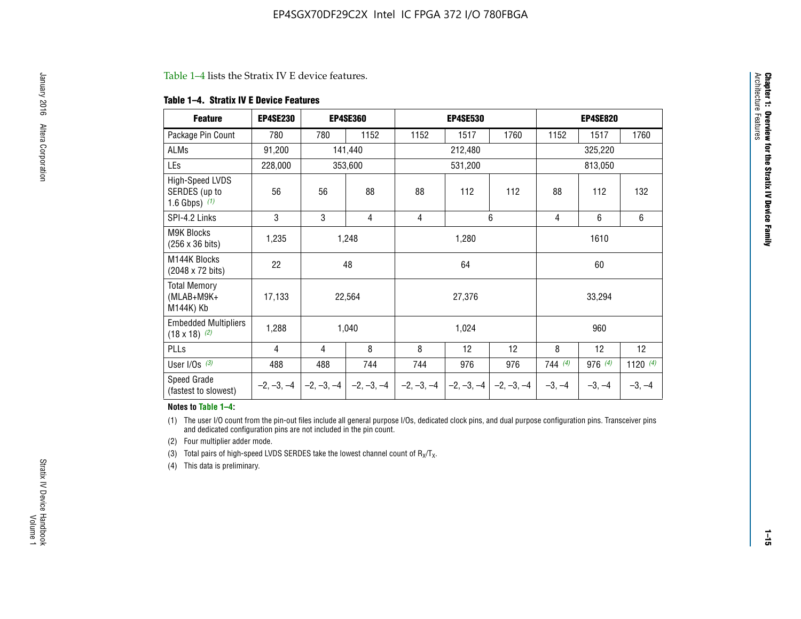#### Table 1–4 lists the Stratix IV E device features.

#### **Table 1–4. Stratix IV E Device Features**

| <b>Feature</b>                                      | <b>EP4SE230</b> |     | <b>EP4SE360</b>                          |              | <b>EP4SE530</b> |              |          | <b>EP4SE820</b> |            |  |
|-----------------------------------------------------|-----------------|-----|------------------------------------------|--------------|-----------------|--------------|----------|-----------------|------------|--|
| Package Pin Count                                   | 780             | 780 | 1152                                     | 1152         | 1517            | 1760         | 1152     | 1517            | 1760       |  |
| ALMs                                                | 91,200          |     | 141,440                                  |              | 212,480         |              |          | 325,220         |            |  |
| LEs                                                 | 228,000         |     | 353,600                                  |              | 531,200         |              |          | 813,050         |            |  |
| High-Speed LVDS<br>SERDES (up to<br>1.6 Gbps) $(1)$ | 56              | 56  | 88                                       | 88           | 112             | 112          | 88       | 112             | 132        |  |
| SPI-4.2 Links                                       | 3               | 3   | 4                                        | 4            |                 | 6            | 4        | 6               | 6          |  |
| <b>M9K Blocks</b><br>(256 x 36 bits)                | 1,235           |     | 1,248                                    |              | 1,280           |              |          | 1610            |            |  |
| M144K Blocks<br>(2048 x 72 bits)                    | 22              |     | 48                                       |              | 64              |              | 60       |                 |            |  |
| <b>Total Memory</b><br>$(MLAB+M9K+$<br>M144K) Kb    | 17,133          |     | 22,564                                   |              | 27,376          |              |          | 33,294          |            |  |
| <b>Embedded Multipliers</b><br>$(18 \times 18)$ (2) | 1,288           |     | 1,040                                    |              | 1,024           |              |          | 960             |            |  |
| PLLs                                                | 4               | 4   | 8                                        | 8            | 12              | 12           | 8        | 12              | 12         |  |
| User I/Os $(3)$                                     | 488             | 488 | 744                                      | 744          | 976             | 976          | 744 (4)  | 976 (4)         | 1120 $(4)$ |  |
| Speed Grade<br>(fastest to slowest)                 |                 |     | $-2, -3, -4$ $ -2, -3, -4$ $ -2, -3, -4$ | $-2, -3, -4$ | $-2, -3, -4$    | $-2, -3, -4$ | $-3, -4$ | $-3, -4$        | $-3, -4$   |  |

#### **Notes to Table 1–4:**

(1) The user I/O count from the pin-out files include all general purpose I/Os, dedicated clock pins, and dual purpose configuration pins. Transceiver pins and dedicated configuration pins are not included in the pin count.

(2) Four multiplier adder mode.

(3) Total pairs of high-speed LVDS SERDES take the lowest channel count of  $R_X/T_X$ .

(4) This data is preliminary.

**Chapter 1: Overview for the Stratix IV Device Family**

**Chapter 1: Overview for the Stratix IV Device Family**<br>Architecture Faatures

Architecture Features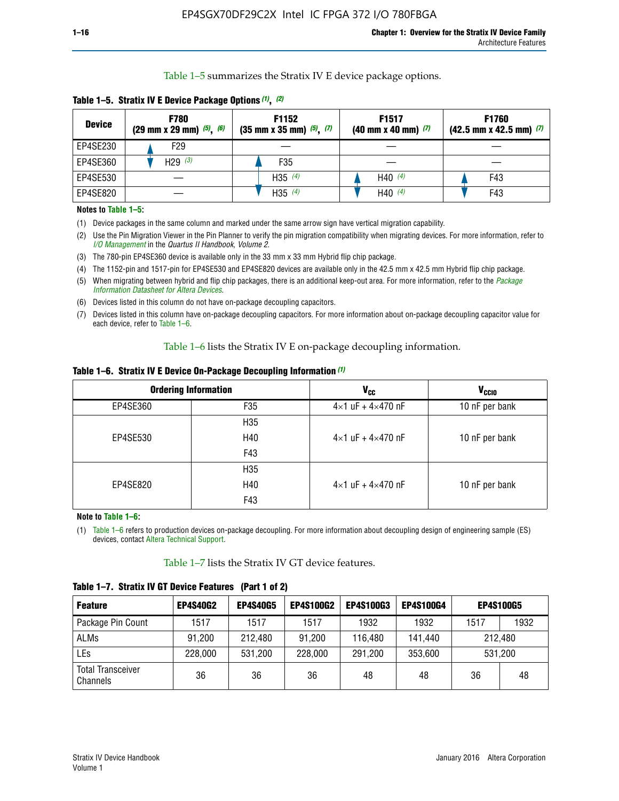Table 1–5 summarizes the Stratix IV E device package options.

| <b>Device</b> | <b>F780</b><br>$(29 \text{ mm} \times 29 \text{ mm})$ $(5)$ , $(6)$ | F1152<br>$(35 \text{ mm} \times 35 \text{ mm})$ $(5)$ , $(7)$ | F <sub>1517</sub><br>$(40 \text{ mm} \times 40 \text{ mm})$ (7) | <b>F1760</b><br>$(42.5$ mm x 42.5 mm) $(7)$ |  |  |
|---------------|---------------------------------------------------------------------|---------------------------------------------------------------|-----------------------------------------------------------------|---------------------------------------------|--|--|
| EP4SE230      | F29                                                                 |                                                               |                                                                 |                                             |  |  |
| EP4SE360      | H <sub>29</sub> $(3)$                                               | F35                                                           |                                                                 |                                             |  |  |
| EP4SE530      |                                                                     | H35 $(4)$                                                     | H40 $(4)$                                                       | F43                                         |  |  |
| EP4SE820      |                                                                     | H35 $(4)$                                                     | H40 $(4)$                                                       | F43                                         |  |  |

**Table 1–5. Stratix IV E Device Package Options** *(1)***,** *(2)*

#### **Notes to Table 1–5:**

(1) Device packages in the same column and marked under the same arrow sign have vertical migration capability.

(2) Use the Pin Migration Viewer in the Pin Planner to verify the pin migration compatibility when migrating devices. For more information, refer to *[I/O Management](http://www.altera.com/literature/hb/qts/qts_qii52013.pdf)* in the *Quartus II Handbook, Volume 2*.

(3) The 780-pin EP4SE360 device is available only in the 33 mm x 33 mm Hybrid flip chip package.

(4) The 1152-pin and 1517-pin for EP4SE530 and EP4SE820 devices are available only in the 42.5 mm x 42.5 mm Hybrid flip chip package.

(5) When migrating between hybrid and flip chip packages, there is an additional keep-out area. For more information, refer to the *[Package](http://www.altera.com/literature/ds/dspkg.pdf)  [Information Datasheet for Altera Devices](http://www.altera.com/literature/ds/dspkg.pdf)*.

(6) Devices listed in this column do not have on-package decoupling capacitors.

(7) Devices listed in this column have on-package decoupling capacitors. For more information about on-package decoupling capacitor value for each device, refer to Table 1–6.

Table 1–6 lists the Stratix IV E on-package decoupling information.

| Table 1–6. Stratix IV E Device On-Package Decoupling Information (1) |  |  |  |  |  |
|----------------------------------------------------------------------|--|--|--|--|--|
|----------------------------------------------------------------------|--|--|--|--|--|

|          | <b>Ordering Information</b> | <b>V<sub>cc</sub></b>               | <b>V<sub>CCIO</sub></b> |
|----------|-----------------------------|-------------------------------------|-------------------------|
| EP4SE360 | F35                         | $4 \times 1$ uF + $4 \times 470$ nF | 10 nF per bank          |
|          | H <sub>35</sub>             |                                     |                         |
| EP4SE530 | H40                         | $4 \times 1$ uF + $4 \times 470$ nF | 10 nF per bank          |
|          | F43                         |                                     |                         |
|          | H <sub>35</sub>             |                                     |                         |
| EP4SE820 | H40                         | $4 \times 1$ uF + $4 \times 470$ nF | 10 nF per bank          |
|          | F43                         |                                     |                         |

**Note to Table 1–6:**

(1) Table 1–6 refers to production devices on-package decoupling. For more information about decoupling design of engineering sample (ES) devices, contact [Altera Technical Support](http://mysupport.altera.com/eservice/login.asp).

Table 1–7 lists the Stratix IV GT device features.

| <b>Feature</b>                       | <b>EP4S40G2</b> | <b>EP4S40G5</b> | <b>EP4S100G2</b> | <b>EP4S100G3</b> | <b>EP4S100G4</b> | <b>EP4S100G5</b> |         |
|--------------------------------------|-----------------|-----------------|------------------|------------------|------------------|------------------|---------|
| Package Pin Count                    | 1517            | 1517            | 1517             | 1932             | 1932             | 1517             | 1932    |
| <b>ALMs</b>                          | 91,200          | 212,480         | 91,200           | 116,480          | 141,440          | 212.480          |         |
| LEs                                  | 228,000         | 531,200         | 228,000          | 291,200          | 353,600          |                  | 531,200 |
| <b>Total Transceiver</b><br>Channels | 36              | 36              | 36               | 48               | 48               | 36               | 48      |

**Table 1–7. Stratix IV GT Device Features (Part 1 of 2)**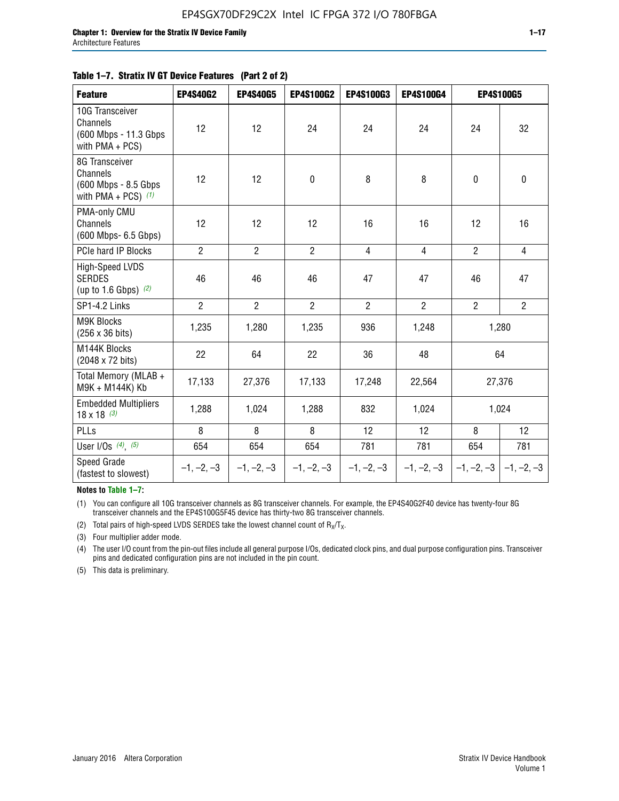#### **Table 1–7. Stratix IV GT Device Features (Part 2 of 2)**

| <b>Feature</b>                                                              | <b>EP4S40G2</b> | <b>EP4S40G5</b> | <b>EP4S100G2</b> | <b>EP4S100G3</b> | EP4S100G4      |                           | <b>EP4S100G5</b> |
|-----------------------------------------------------------------------------|-----------------|-----------------|------------------|------------------|----------------|---------------------------|------------------|
| 10G Transceiver<br>Channels<br>(600 Mbps - 11.3 Gbps<br>with PMA + PCS)     | 12              | 12              | 24               | 24               | 24             | 24                        | 32               |
| 8G Transceiver<br>Channels<br>(600 Mbps - 8.5 Gbps<br>with PMA + PCS) $(1)$ | 12              | 12              | $\pmb{0}$        | 8                | 8              | $\mathbf 0$               | $\pmb{0}$        |
| PMA-only CMU<br>Channels<br>(600 Mbps- 6.5 Gbps)                            | 12              | 12              | 12               | 16               | 16             | 12                        | 16               |
| PCIe hard IP Blocks                                                         | $\overline{2}$  | $\overline{2}$  | $\overline{2}$   | 4                | $\overline{4}$ | $\overline{2}$            | $\overline{4}$   |
| High-Speed LVDS<br><b>SERDES</b><br>(up to 1.6 Gbps) $(2)$                  | 46              | 46              | 46               | 47               | 47             | 46                        | 47               |
| SP1-4.2 Links                                                               | $\overline{2}$  | $\overline{2}$  | $\overline{2}$   | $\overline{2}$   | $\overline{2}$ | $\overline{2}$            | $\overline{2}$   |
| <b>M9K Blocks</b><br>(256 x 36 bits)                                        | 1,235           | 1,280           | 1,235            | 936              | 1,248          |                           | 1,280            |
| M144K Blocks<br>(2048 x 72 bits)                                            | 22              | 64              | 22               | 36               | 48             |                           | 64               |
| Total Memory (MLAB +<br>M9K + M144K) Kb                                     | 17,133          | 27,376          | 17,133           | 17,248           | 22,564         |                           | 27,376           |
| <b>Embedded Multipliers</b><br>$18 \times 18^{(3)}$                         | 1,288           | 1,024           | 1,288            | 832              | 1,024          |                           | 1,024            |
| PLLs                                                                        | 8               | 8               | 8                | 12               | 12             | 8                         | 12               |
| User I/Os $(4)$ , $(5)$                                                     | 654             | 654             | 654              | 781              | 781            | 654                       | 781              |
| Speed Grade<br>(fastest to slowest)                                         | $-1, -2, -3$    | $-1, -2, -3$    | $-1, -2, -3$     | $-1, -2, -3$     | $-1, -2, -3$   | $-1, -2, -3$ $-1, -2, -3$ |                  |

**Notes to Table 1–7:**

(1) You can configure all 10G transceiver channels as 8G transceiver channels. For example, the EP4S40G2F40 device has twenty-four 8G transceiver channels and the EP4S100G5F45 device has thirty-two 8G transceiver channels.

(2) Total pairs of high-speed LVDS SERDES take the lowest channel count of  $R_X/T_X$ .

(3) Four multiplier adder mode.

(4) The user I/O count from the pin-out files include all general purpose I/Os, dedicated clock pins, and dual purpose configuration pins. Transceiver pins and dedicated configuration pins are not included in the pin count.

(5) This data is preliminary.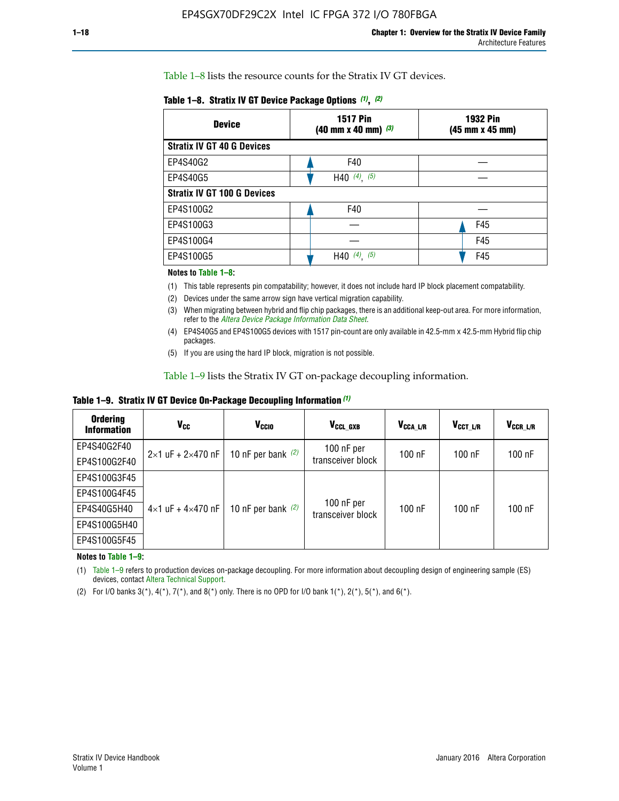Table 1–8 lists the resource counts for the Stratix IV GT devices.

| <b>Device</b>                      | <b>1517 Pin</b><br><b>1932 Pin</b><br>$(40 \text{ mm} \times 40 \text{ mm})$ (3)<br>(45 mm x 45 mm) |     |
|------------------------------------|-----------------------------------------------------------------------------------------------------|-----|
| <b>Stratix IV GT 40 G Devices</b>  |                                                                                                     |     |
| EP4S40G2                           | F40                                                                                                 |     |
| EP4S40G5                           | H40 $(4)$ , $(5)$                                                                                   |     |
| <b>Stratix IV GT 100 G Devices</b> |                                                                                                     |     |
| EP4S100G2                          | F40                                                                                                 |     |
| EP4S100G3                          |                                                                                                     | F45 |
| EP4S100G4                          |                                                                                                     | F45 |
| EP4S100G5                          | (4)<br>(5)<br>H40                                                                                   | F45 |

#### **Notes to Table 1–8:**

(1) This table represents pin compatability; however, it does not include hard IP block placement compatability.

- (2) Devices under the same arrow sign have vertical migration capability.
- (3) When migrating between hybrid and flip chip packages, there is an additional keep-out area. For more information, refer to the *[Altera Device Package Information Data Sheet](http://www.altera.com/literature/ds/dspkg.pdf)*.
- (4) EP4S40G5 and EP4S100G5 devices with 1517 pin-count are only available in 42.5-mm x 42.5-mm Hybrid flip chip packages.
- (5) If you are using the hard IP block, migration is not possible.

Table 1–9 lists the Stratix IV GT on-package decoupling information.

**Table 1–9. Stratix IV GT Device On-Package Decoupling Information** *(1)*

| <b>Ordering</b><br><b>Information</b> | Vcc                                 | <b>V<sub>CCIO</sub></b> | V <sub>CCL GXB</sub>            | V <sub>CCA L/R</sub> | V <sub>CCT L/R</sub> | V <sub>CCR_L/R</sub> |
|---------------------------------------|-------------------------------------|-------------------------|---------------------------------|----------------------|----------------------|----------------------|
| EP4S40G2F40                           | $2 \times 1$ uF + $2 \times 470$ nF | 10 nF per bank $(2)$    | 100 nF per<br>transceiver block | $100$ nF             | $100$ nF             | $100$ nF             |
| EP4S100G2F40                          |                                     |                         |                                 |                      |                      |                      |
| EP4S100G3F45                          |                                     | 10 nF per bank $(2)$    | 100 nF per<br>transceiver block | $100$ nF             | $100$ nF             | $100$ nF             |
| EP4S100G4F45                          |                                     |                         |                                 |                      |                      |                      |
| EP4S40G5H40                           | $4\times1$ uF + $4\times470$ nF     |                         |                                 |                      |                      |                      |
| EP4S100G5H40                          |                                     |                         |                                 |                      |                      |                      |
| EP4S100G5F45                          |                                     |                         |                                 |                      |                      |                      |

**Notes to Table 1–9:**

(1) Table 1–9 refers to production devices on-package decoupling. For more information about decoupling design of engineering sample (ES) devices, contact [Altera Technical Support](http://mysupport.altera.com/eservice/login.asp).

(2) For I/O banks  $3(*)$ ,  $4(*)$ ,  $7(*)$ , and  $8(*)$  only. There is no OPD for I/O bank  $1(*)$ ,  $2(*)$ ,  $5(*)$ , and  $6(*)$ .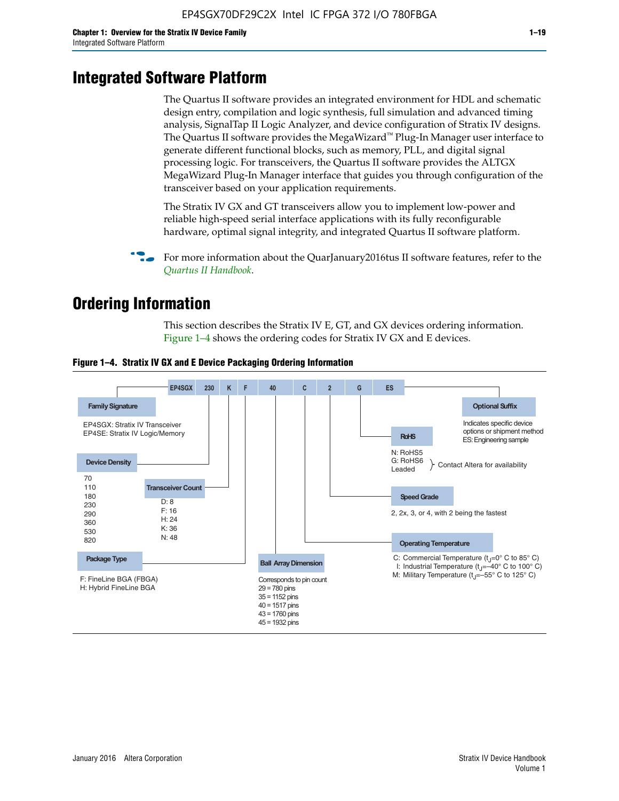# **Integrated Software Platform**

The Quartus II software provides an integrated environment for HDL and schematic design entry, compilation and logic synthesis, full simulation and advanced timing analysis, SignalTap II Logic Analyzer, and device configuration of Stratix IV designs. The Quartus II software provides the MegaWizard<sup> $M$ </sup> Plug-In Manager user interface to generate different functional blocks, such as memory, PLL, and digital signal processing logic. For transceivers, the Quartus II software provides the ALTGX MegaWizard Plug-In Manager interface that guides you through configuration of the transceiver based on your application requirements.

The Stratix IV GX and GT transceivers allow you to implement low-power and reliable high-speed serial interface applications with its fully reconfigurable hardware, optimal signal integrity, and integrated Quartus II software platform.

For more information about the QuarJanuary2016tus II software features, refer to the *[Quartus II Handbook](http://www.altera.com/literature/lit-qts.jsp)*.

# **Ordering Information**

This section describes the Stratix IV E, GT, and GX devices ordering information. Figure 1–4 shows the ordering codes for Stratix IV GX and E devices.



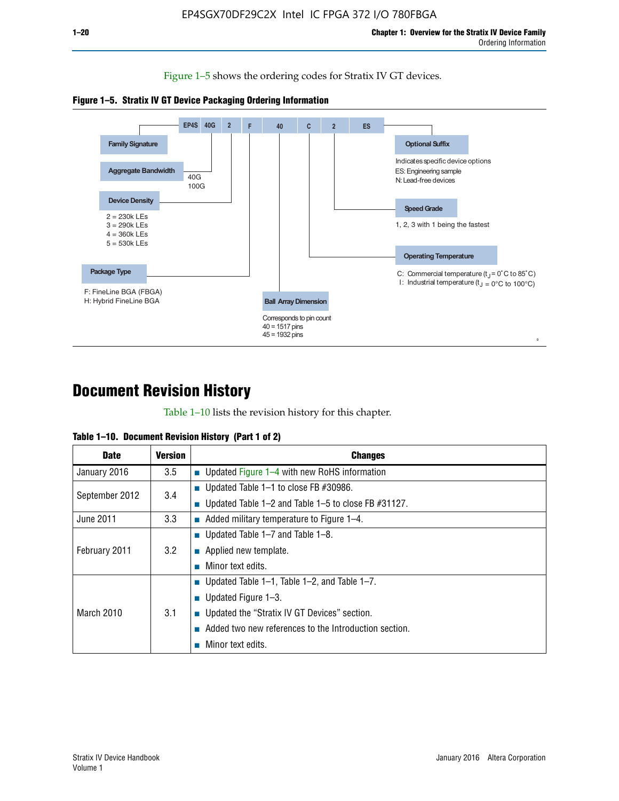Figure 1–5 shows the ordering codes for Stratix IV GT devices.





# **Document Revision History**

Table 1–10 lists the revision history for this chapter.

| Table 1–10. Document Revision History (Part 1 of 2) |  |  |  |  |  |
|-----------------------------------------------------|--|--|--|--|--|
|-----------------------------------------------------|--|--|--|--|--|

| <b>Date</b>       | <b>Version</b> | <b>Changes</b>                                        |
|-------------------|----------------|-------------------------------------------------------|
| January 2016      | 3.5            | ■ Updated Figure $1-4$ with new RoHS information      |
| September 2012    | 3.4            | ■ Updated Table 1–1 to close FB $#30986$ .            |
|                   |                | Updated Table 1–2 and Table 1–5 to close FB #31127.   |
| June 2011         | 3.3            | Added military temperature to Figure 1–4.             |
| February 2011     | 3.2            | ■ Updated Table 1–7 and Table 1–8.                    |
|                   |                | $\blacksquare$ Applied new template.                  |
|                   |                | Minor text edits.                                     |
| <b>March 2010</b> |                | <b>Updated Table 1–1, Table 1–2, and Table 1–7.</b>   |
|                   | 3.1            | ■ Updated Figure $1-3$ .                              |
|                   |                | Updated the "Stratix IV GT Devices" section.          |
|                   |                | Added two new references to the Introduction section. |
|                   |                | Minor text edits.                                     |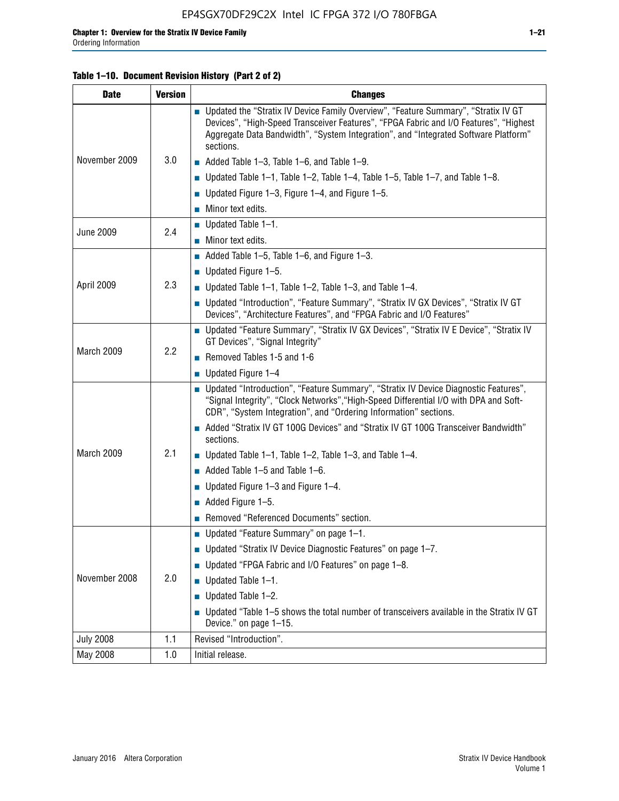### **Table 1–10. Document Revision History (Part 2 of 2)**

| <b>Date</b>      | <b>Version</b> | <b>Changes</b>                                                                                                                                                                                                                                                                    |  |  |
|------------------|----------------|-----------------------------------------------------------------------------------------------------------------------------------------------------------------------------------------------------------------------------------------------------------------------------------|--|--|
|                  |                | ■ Updated the "Stratix IV Device Family Overview", "Feature Summary", "Stratix IV GT<br>Devices", "High-Speed Transceiver Features", "FPGA Fabric and I/O Features", "Highest<br>Aggregate Data Bandwidth", "System Integration", and "Integrated Software Platform"<br>sections. |  |  |
| November 2009    | 3.0            | $\blacksquare$ Added Table 1-3, Table 1-6, and Table 1-9.                                                                                                                                                                                                                         |  |  |
|                  |                | $\blacksquare$ Updated Table 1-1, Table 1-2, Table 1-4, Table 1-5, Table 1-7, and Table 1-8.                                                                                                                                                                                      |  |  |
|                  |                | ■ Updated Figure 1–3, Figure 1–4, and Figure 1–5.                                                                                                                                                                                                                                 |  |  |
|                  |                | $\blacksquare$ Minor text edits.                                                                                                                                                                                                                                                  |  |  |
| <b>June 2009</b> | 2.4            | $\blacksquare$ Updated Table 1-1.                                                                                                                                                                                                                                                 |  |  |
|                  |                | $\blacksquare$ Minor text edits.                                                                                                                                                                                                                                                  |  |  |
|                  |                | Added Table $1-5$ , Table $1-6$ , and Figure $1-3$ .                                                                                                                                                                                                                              |  |  |
|                  |                | <b>Updated Figure 1–5.</b>                                                                                                                                                                                                                                                        |  |  |
| April 2009       | 2.3            | $\blacksquare$ Updated Table 1-1, Table 1-2, Table 1-3, and Table 1-4.                                                                                                                                                                                                            |  |  |
|                  |                | ■ Updated "Introduction", "Feature Summary", "Stratix IV GX Devices", "Stratix IV GT<br>Devices", "Architecture Features", and "FPGA Fabric and I/O Features"                                                                                                                     |  |  |
|                  | 2.2            | ■ Updated "Feature Summary", "Stratix IV GX Devices", "Stratix IV E Device", "Stratix IV<br>GT Devices", "Signal Integrity"                                                                                                                                                       |  |  |
| March 2009       |                | Removed Tables 1-5 and 1-6                                                                                                                                                                                                                                                        |  |  |
|                  |                | $\blacksquare$ Updated Figure 1-4                                                                                                                                                                                                                                                 |  |  |
|                  |                | ■ Updated "Introduction", "Feature Summary", "Stratix IV Device Diagnostic Features",<br>"Signal Integrity", "Clock Networks", "High-Speed Differential I/O with DPA and Soft-<br>CDR", "System Integration", and "Ordering Information" sections.                                |  |  |
|                  |                | Added "Stratix IV GT 100G Devices" and "Stratix IV GT 100G Transceiver Bandwidth"<br>sections.                                                                                                                                                                                    |  |  |
| March 2009       | 2.1            | <b>Updated Table 1–1, Table 1–2, Table 1–3, and Table 1–4.</b>                                                                                                                                                                                                                    |  |  |
|                  |                | $\blacksquare$ Added Table 1-5 and Table 1-6.                                                                                                                                                                                                                                     |  |  |
|                  |                | ■ Updated Figure 1-3 and Figure 1-4.                                                                                                                                                                                                                                              |  |  |
|                  |                | $\blacksquare$ Added Figure 1-5.                                                                                                                                                                                                                                                  |  |  |
|                  |                | Removed "Referenced Documents" section.                                                                                                                                                                                                                                           |  |  |
|                  | 2.0            | Updated "Feature Summary" on page 1-1.                                                                                                                                                                                                                                            |  |  |
|                  |                | ■ Updated "Stratix IV Device Diagnostic Features" on page 1-7.                                                                                                                                                                                                                    |  |  |
| November 2008    |                | Updated "FPGA Fabric and I/O Features" on page 1-8.                                                                                                                                                                                                                               |  |  |
|                  |                | Updated Table 1-1.                                                                                                                                                                                                                                                                |  |  |
|                  |                | Updated Table 1-2.<br>П                                                                                                                                                                                                                                                           |  |  |
|                  |                | Updated "Table 1-5 shows the total number of transceivers available in the Stratix IV GT<br>Device." on page 1-15.                                                                                                                                                                |  |  |
| <b>July 2008</b> | 1.1            | Revised "Introduction".                                                                                                                                                                                                                                                           |  |  |
| May 2008         | 1.0            | Initial release.                                                                                                                                                                                                                                                                  |  |  |